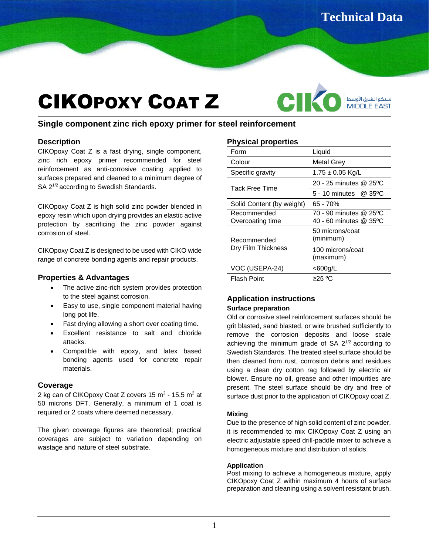سيكو الشرق الأوسط<br>MIDDLE EAST

# CIKOPOXY COAT Z

**Single component zinc rich epoxy primer for steel reinforcement** 

## **Description**

CIKOpoxy Coat Z is a fast drying, single component, zinc rich epoxy primer recommended for steel reinforcement as anti-corrosive coating applied to surfaces prepared and cleaned to a minimum degree of SA 2<sup>1/2</sup> according to Swedish Standards.

CIKOpoxy Coat Z is high solid zinc powder blended in epoxy resin which upon drying provides an elastic active protection by sacrificing the zinc powder against corrosion of steel.

CIKOpoxy Coat Z is designed to be used with CIKO wide range of concrete bonding agents and repair products.

## **Properties & Advantages**

- The active zinc-rich system provides protection to the steel against corrosion.
- Easy to use, single component material having long pot life.
- Fast drying allowing a short over coating time.
- Excellent resistance to salt and chloride attacks.
- Compatible with epoxy, and latex based bonding agents used for concrete repair materials.

# **Coverage**

2 kg can of CIKOpoxy Coat Z covers 15 m<sup>2</sup> - 15.5 m<sup>2</sup> at 50 microns DFT. Generally, a minimum of 1 coat is required or 2 coats where deemed necessary.

The given coverage figures are theoretical; practical coverages are subject to variation depending on wastage and nature of steel substrate.

# **Physical properties**

| Form                              | Liquid                        |
|-----------------------------------|-------------------------------|
| Colour                            | <b>Metal Grey</b>             |
| Specific gravity                  | $1.75 \pm 0.05$ Kg/L          |
| Tack Free Time                    | 20 - 25 minutes @ 25°C        |
|                                   | 5 - 10 minutes $\omega$ 35 °C |
| Solid Content (by weight)         | 65 - 70%                      |
| Recommended                       | 70 - 90 minutes @ 25°C        |
| Overcoating time                  | 40 - 60 minutes @ 35°C        |
| Recommended<br>Dry Film Thickness | 50 microns/coat<br>(minimum)  |
|                                   | 100 microns/coat<br>(maximum) |
| VOC (USEPA-24)                    | $<$ 600g/L                    |
| <b>Flash Point</b>                | ≥25 ºC                        |

CIK

## **Application instructions Surface preparation**

Old or corrosive steel reinforcement surfaces should be grit blasted, sand blasted, or wire brushed sufficiently to remove the corrosion deposits and loose scale achieving the minimum grade of  $SA$   $2^{1/2}$  according to Swedish Standards. The treated steel surface should be then cleaned from rust, corrosion debris and residues using a clean dry cotton rag followed by electric air blower. Ensure no oil, grease and other impurities are present. The steel surface should be dry and free of surface dust prior to the application of CIKOpoxy coat Z.

## **Mixing**

Due to the presence of high solid content of zinc powder, it is recommended to mix CIKOpoxy Coat Z using an electric adjustable speed drill-paddle mixer to achieve a homogeneous mixture and distribution of solids.

## **Application**

Post mixing to achieve a homogeneous mixture, apply CIKOpoxy Coat Z within maximum 4 hours of surface preparation and cleaning using a solvent resistant brush.